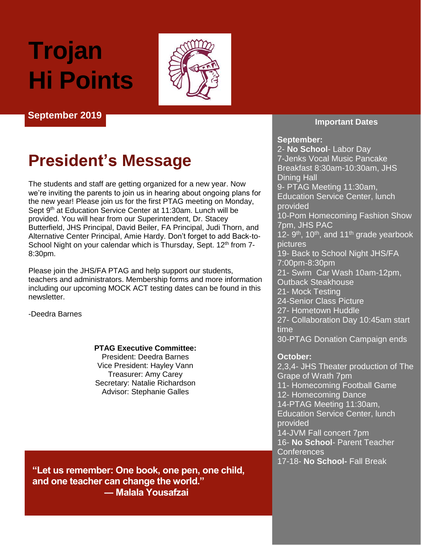# **Trojan Hi Points**



#### **September 2019**

## **President's Message**

The students and staff are getting organized for a new year. Now we're inviting the parents to join us in hearing about ongoing plans for the new year! Please join us for the first PTAG meeting on Monday, Sept 9<sup>th</sup> at Education Service Center at 11:30am. Lunch will be provided. You will hear from our Superintendent, Dr. Stacey Butterfield, JHS Principal, David Beiler, FA Principal, Judi Thorn, and Alternative Center Principal, Amie Hardy. Don't forget to add Back-to-School Night on your calendar which is Thursday, Sept.  $12<sup>th</sup>$  from  $7-$ 8:30pm.

Please join the JHS/FA PTAG and help support our students, teachers and administrators. Membership forms and more information including our upcoming MOCK ACT testing dates can be found in this newsletter.

-Deedra Barnes

#### **PTAG Executive Committee:** President: Deedra Barnes

Vice President: Hayley Vann Treasurer: Amy Carey Secretary: Natalie Richardson Advisor: Stephanie Galles

**Important Dates**

#### **September:**

2- **No School**- Labor Day 7-Jenks Vocal Music Pancake Breakfast 8:30am-10:30am, JHS Dining Hall 9- PTAG Meeting 11:30am, Education Service Center, lunch provided 10-Pom Homecoming Fashion Show 7pm, JHS PAC 12- 9<sup>th</sup>, 10<sup>th</sup>, and 11<sup>th</sup> grade yearbook pictures 19- Back to School Night JHS/FA 7:00pm-8:30pm 21- Swim Car Wash 10am-12pm, Outback Steakhouse 21- Mock Testing 24-Senior Class Picture 27- Hometown Huddle 27- Collaboration Day 10:45am start time 30-PTAG Donation Campaign ends

#### **October:**

2,3,4- JHS Theater production of The Grape of Wrath 7pm 11- Homecoming Football Game 12- Homecoming Dance 14-PTAG Meeting 11:30am, Education Service Center, lunch provided 14-JVM Fall concert 7pm 16- **No School**- Parent Teacher Conferences 17-18- **No School-** Fall Break

**"Let us remember: One book, one pen, one child, and one teacher can change the world." ― Malala Yousafzai**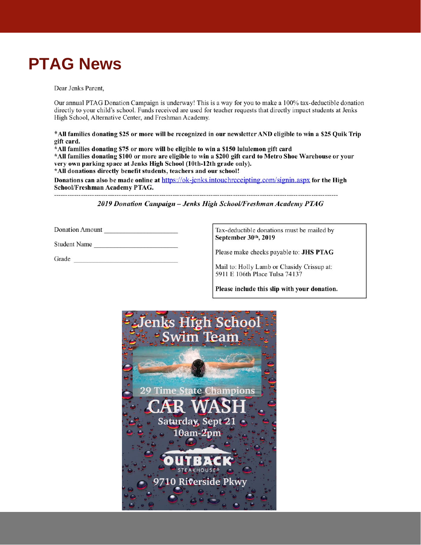## **PTAG News**

Dear Jenks Parent,

Our annual PTAG Donation Campaign is underway! This is a way for you to make a 100% tax-deductible donation directly to your child's school. Funds received are used for teacher requests that directly impact students at Jenks High School, Alternative Center, and Freshman Academy.

\*All families donating \$25 or more will be recognized in our newsletter AND eligible to win a \$25 Quik Trip gift card.

\*All families donating \$75 or more will be eligible to win a \$150 lululemon gift card \*All families donating \$100 or more are eligible to win a \$200 gift card to Metro Shoe Warehouse or your very own parking space at Jenks High School (10th-12th grade only). \*All donations directly benefit students, teachers and our school!

Donations can also be made online at https://ok-jenks.intouchreceipting.com/signin.aspx for the High School/Freshman Academy PTAG.

2019 Donation Campaign - Jenks High School/Freshman Academy PTAG

Donation Amount

------------------------------

Student Name

Grade <u>superior and the set of the set of the set of the set of the set of the set of the set of the set of the set of the set of the set of the set of the set of the set of the set of the set of the set of the set of the </u>

Tax-deductible donations must be mailed by September 30th, 2019

Please make checks payable to: JHS PTAG

Mail to: Holly Lamb or Chasidy Crissup at: 5911 E 106th Place Tulsa 74137

Please include this slip with your donation.

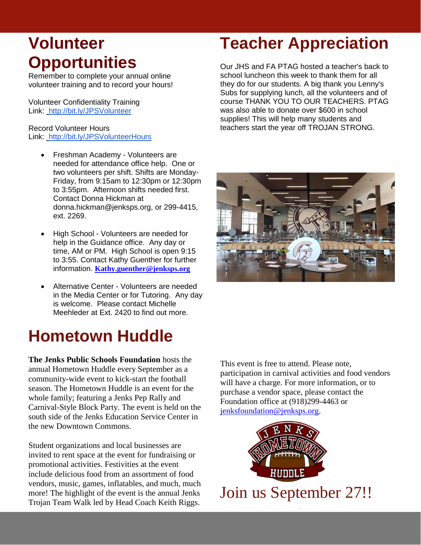# **Volunteer Opportunities**

Remember to complete your annual online volunteer training and to record your hours!

Volunteer Confidentiality Training Link:<http://bit.ly/JPSVolunteer>

#### Record Volunteer Hours Link:<http://bit.ly/JPSVolunteerHours>

- Freshman Academy Volunteers are needed for attendance office help. One or two volunteers per shift. Shifts are Monday-Friday, from 9:15am to 12:30pm or 12:30pm to 3:55pm. Afternoon shifts needed first. Contact Donna Hickman at donna.hickman@jenksps.org, or 299-4415, ext. 2269.
- High School Volunteers are needed for help in the Guidance office. Any day or time, AM or PM. High School is open 9:15 to 3:55. Contact Kathy Guenther for further information. **[Kathy.guenther@jenksps.org](mailto:Kathy.guenther@jenksps.org)**
- Alternative Center Volunteers are needed in the Media Center or for Tutoring. Any day is welcome. Please contact Michelle Meehleder at Ext. 2420 to find out more.

## **Hometown Huddle**

**The Jenks Public Schools Foundation** hosts the annual Hometown Huddle every September as a community-wide event to kick-start the football season. The Hometown Huddle is an event for the whole family; featuring a Jenks Pep Rally and Carnival-Style Block Party. The event is held on the south side of the Jenks Education Service Center in the new Downtown Commons.

Student organizations and local businesses are invited to rent space at the event for fundraising or promotional activities. Festivities at the event include delicious food from an assortment of food vendors, music, games, inflatables, and much, much more! The highlight of the event is the annual Jenks Trojan Team Walk led by Head Coach Keith Riggs.

## **Teacher Appreciation**

Our JHS and FA PTAG hosted a teacher's back to school luncheon this week to thank them for all they do for our students. A big thank you Lenny's Subs for supplying lunch, all the volunteers and of course THANK YOU TO OUR TEACHERS. PTAG was also able to donate over \$600 in school supplies! This will help many students and teachers start the year off TROJAN STRONG.



This event is free to attend. Please note, participation in carnival activities and food vendors will have a charge. For more information, or to purchase a vendor space, please contact the Foundation office at (918)299-4463 or [jenksfoundation@jenksps.org.](mailto:jenksfoundation@jenksps.org)

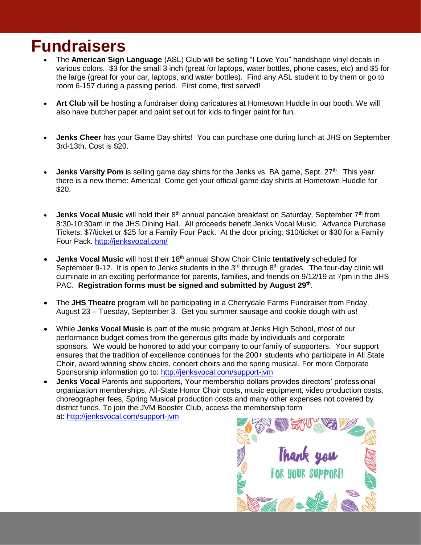## **Fundraisers**

- The **American Sign Language** (ASL) Club will be selling "I Love You" handshape vinyl decals in various colors. \$3 for the small 3 inch (great for laptops, water bottles, phone cases, etc) and \$5 for the large (great for your car, laptops, and water bottles). Find any ASL student to by them or go to room 6-157 during a passing period. First come, first served!
- **Art Club** will be hosting a fundraiser doing caricatures at Hometown Huddle in our booth. We will also have butcher paper and paint set out for kids to finger paint for fun.
- **Jenks Cheer** has your Game Day shirts! You can purchase one during lunch at JHS on September 3rd-13th. Cost is \$20.
- **Jenks Varsity Pom** is selling game day shirts for the Jenks vs. BA game, Sept. 27<sup>th</sup>. This year there is a new theme: America! Come get your official game day shirts at Hometown Huddle for \$20.
- Jenks Vocal Music will hold their 8<sup>th</sup> annual pancake breakfast on Saturday, September 7<sup>th</sup> from 8:30-10:30am in the JHS Dining Hall. All proceeds benefit Jenks Vocal Music. Advance Purchase Tickets: \$7/ticket or \$25 for a Family Four Pack. At the door pricing: \$10/ticket or \$30 for a Family Four Pack.<http://jenksvocal.com/>
- Jenks Vocal Music will host their 18<sup>th</sup> annual Show Choir Clinic tentatively scheduled for September 9-12. It is open to Jenks students in the  $3<sup>rd</sup>$  through  $8<sup>th</sup>$  grades. The four-day clinic will culminate in an exciting performance for parents, families, and friends on 9/12/19 at 7pm in the JHS PAC. **Registration forms must be signed and submitted by August 29th** .
- The **JHS Theatre** program will be participating in a Cherrydale Farms Fundraiser from Friday, August 23 – Tuesday, September 3. Get you summer sausage and cookie dough with us!
- While **Jenks Vocal Music** is part of the music program at Jenks High School, most of our performance budget comes from the generous gifts made by individuals and corporate sponsors. We would be honored to add your company to our family of supporters. Your support ensures that the tradition of excellence continues for the 200+ students who participate in All State Choir, award winning show choirs, concert choirs and the spring musical. For more Corporate Sponsorship information go to: http://jenksvocal.com/support-jvm
- **Jenks Vocal** Parents and supporters, Your membership dollars provides directors' professional organization memberships, All-State Honor Choir costs, music equipment, video production costs, choreographer fees, Spring Musical production costs and many other expenses not covered by district funds. To join the JVM Booster Club, access the membership form at: <http://jenksvocal.com/support-jvm>

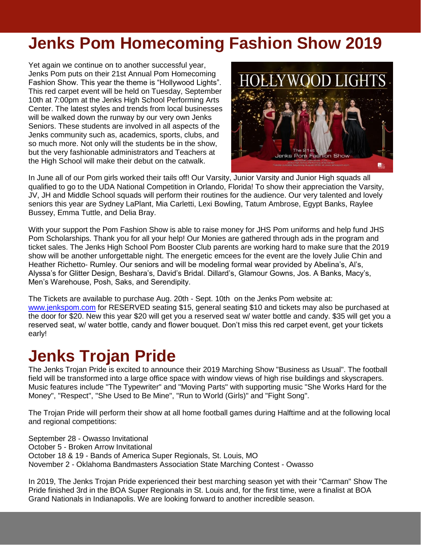## **Jenks Pom Homecoming Fashion Show 2019**

Yet again we continue on to another successful year, Jenks Pom puts on their 21st Annual Pom Homecoming Fashion Show. This year the theme is "Hollywood Lights". This red carpet event will be held on Tuesday, September 10th at 7:00pm at the Jenks High School Performing Arts Center. The latest styles and trends from local businesses will be walked down the runway by our very own Jenks Seniors. These students are involved in all aspects of the Jenks community such as, academics, sports, clubs, and so much more. Not only will the students be in the show, but the very fashionable administrators and Teachers at the High School will make their debut on the catwalk.



In June all of our Pom girls worked their tails off! Our Varsity, Junior Varsity and Junior High squads all qualified to go to the UDA National Competition in Orlando, Florida! To show their appreciation the Varsity, JV, JH and Middle School squads will perform their routines for the audience. Our very talented and lovely seniors this year are Sydney LaPlant, Mia Carletti, Lexi Bowling, Tatum Ambrose, Egypt Banks, Raylee Bussey, Emma Tuttle, and Delia Bray.

With your support the Pom Fashion Show is able to raise money for JHS Pom uniforms and help fund JHS Pom Scholarships. Thank you for all your help! Our Monies are gathered through ads in the program and ticket sales. The Jenks High School Pom Booster Club parents are working hard to make sure that the 2019 show will be another unforgettable night. The energetic emcees for the event are the lovely Julie Chin and Heather Richetto- Rumley. Our seniors and will be modeling formal wear provided by Abelina's, Al's, Alyssa's for Glitter Design, Beshara's, David's Bridal. Dillard's, Glamour Gowns, Jos. A Banks, Macy's, Men's Warehouse, Posh, Saks, and Serendipity.

The Tickets are available to purchase Aug. 20th - Sept. 10th on the Jenks Pom website at: [www.jenkspom.com](http://www.jenkspom.com/) for RESERVED seating \$15, general seating \$10 and tickets may also be purchased at the door for \$20. New this year \$20 will get you a reserved seat w/ water bottle and candy. \$35 will get you a reserved seat, w/ water bottle, candy and flower bouquet. Don't miss this red carpet event, get your tickets early!

## **Jenks Trojan Pride**

The Jenks Trojan Pride is excited to announce their 2019 Marching Show "Business as Usual". The football field will be transformed into a large office space with window views of high rise buildings and skyscrapers. Music features include "The Typewriter" and "Moving Parts" with supporting music "She Works Hard for the Money", "Respect", "She Used to Be Mine", "Run to World (Girls)" and "Fight Song".

The Trojan Pride will perform their show at all home football games during Halftime and at the following local and regional competitions:

September 28 - Owasso Invitational October 5 - Broken Arrow Invitational October 18 & 19 - Bands of America Super Regionals, St. Louis, MO November 2 - Oklahoma Bandmasters Association State Marching Contest - Owasso

In 2019, The Jenks Trojan Pride experienced their best marching season yet with their "Carman" Show The Pride finished 3rd in the BOA Super Regionals in St. Louis and, for the first time, were a finalist at BOA Grand Nationals in Indianapolis. We are looking forward to another incredible season.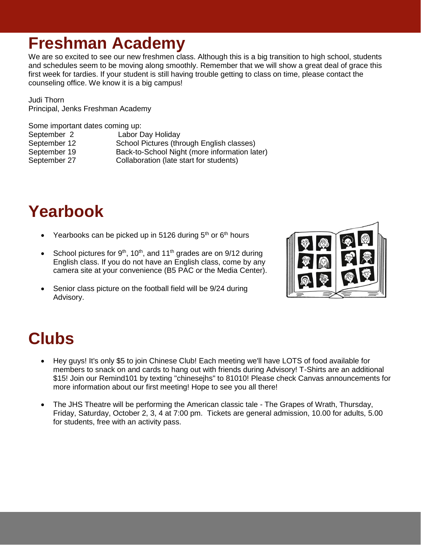## **Freshman Academy**

We are so excited to see our new freshmen class. Although this is a big transition to high school, students and schedules seem to be moving along smoothly. Remember that we will show a great deal of grace this first week for tardies. If your student is still having trouble getting to class on time, please contact the counseling office. We know it is a big campus!

Judi Thorn Principal, Jenks Freshman Academy

Some important dates coming up:

September 2 Labor Day Holiday September 12 School Pictures (through English classes) September 19 Back-to-School Night (more information later) September 27 Collaboration (late start for students)

# **Yearbook**

- Yearbooks can be picked up in 5126 during  $5<sup>th</sup>$  or  $6<sup>th</sup>$  hours
- School pictures for  $9<sup>th</sup>$ , 10<sup>th</sup>, and 11<sup>th</sup> grades are on  $9/12$  during English class. If you do not have an English class, come by any camera site at your convenience (B5 PAC or the Media Center).
- Senior class picture on the football field will be 9/24 during Advisory.



# **Clubs**

- Hey guys! It's only \$5 to join Chinese Club! Each meeting we'll have LOTS of food available for members to snack on and cards to hang out with friends during Advisory! T-Shirts are an additional \$15! Join our Remind101 by texting "chinesejhs" to 81010! Please check Canvas announcements for more information about our first meeting! Hope to see you all there!
- The JHS Theatre will be performing the American classic tale The Grapes of Wrath, Thursday, Friday, Saturday, October 2, 3, 4 at 7:00 pm. Tickets are general admission, 10.00 for adults, 5.00 for students, free with an activity pass.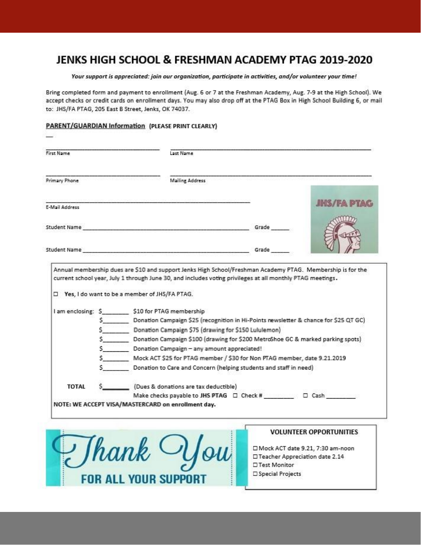## JENKS HIGH SCHOOL & FRESHMAN ACADEMY PTAG 2019-2020

Your support is appreciated: join our organization, participate in activities, and/or volunteer your time!

Bring completed form and payment to enrollment (Aug. 6 or 7 at the Freshman Academy, Aug. 7-9 at the High School). We accept checks or credit cards on enrollment days. You may also drop off at the PTAG Box in High School Building 6, or mail to: JHS/FA PTAG, 205 East B Street, Jenks, OK 74037.

#### PARENT/GUARDIAN Information (PLEASE PRINT CLEARLY)

**FOR ALL YOUR SUPPORT** 

| First Name          | Last Name                                                                                                                                                                                                                     |       |                                                                                                            |
|---------------------|-------------------------------------------------------------------------------------------------------------------------------------------------------------------------------------------------------------------------------|-------|------------------------------------------------------------------------------------------------------------|
| Primary Phone       | <b>Mailing Address</b>                                                                                                                                                                                                        |       |                                                                                                            |
|                     |                                                                                                                                                                                                                               |       | <b>JHS/FAPTAG</b>                                                                                          |
| E-Mail Address      |                                                                                                                                                                                                                               |       |                                                                                                            |
|                     | Student Name and the contract of the contract of the contract of the contract of the contract of the contract of the contract of the contract of the contract of the contract of the contract of the contract of the contract | Grade |                                                                                                            |
|                     |                                                                                                                                                                                                                               |       |                                                                                                            |
|                     |                                                                                                                                                                                                                               | Grade |                                                                                                            |
|                     |                                                                                                                                                                                                                               |       |                                                                                                            |
|                     |                                                                                                                                                                                                                               |       | Annual membership dues are \$10 and support Jenks High School/Freshman Academy PTAG. Membership is for the |
|                     | I am enclosing: \$ \$10 for PTAG membership                                                                                                                                                                                   |       | \$ Donation Campaign \$25 (recognition in Hi-Points newsletter & chance for \$25 QT GC)                    |
|                     | S Donation Campaign \$75 (drawing for \$150 Lululemon)                                                                                                                                                                        |       |                                                                                                            |
|                     |                                                                                                                                                                                                                               |       | \$ Donation Campaign \$100 (drawing for \$200 MetroShoe GC & marked parking spots)                         |
|                     | Donation Campaign - any amount appreciated!                                                                                                                                                                                   |       |                                                                                                            |
|                     |                                                                                                                                                                                                                               |       | Mock ACT \$25 for PTAG member / \$30 for Non PTAG member, date 9.21.2019                                   |
|                     | Donation to Care and Concern (helping students and staff in need)                                                                                                                                                             |       |                                                                                                            |
| TOTAL               | (Dues & donations are tax deductible)                                                                                                                                                                                         |       |                                                                                                            |
|                     |                                                                                                                                                                                                                               |       |                                                                                                            |
|                     | NOTE: WE ACCEPT VISA/MASTERCARD on enrollment day.                                                                                                                                                                            |       |                                                                                                            |
|                     |                                                                                                                                                                                                                               |       |                                                                                                            |
|                     |                                                                                                                                                                                                                               |       |                                                                                                            |
|                     |                                                                                                                                                                                                                               |       |                                                                                                            |
|                     |                                                                                                                                                                                                                               |       | <b>VOLUNTEER OPPORTUNITIES</b>                                                                             |
|                     |                                                                                                                                                                                                                               |       | □ Mock ACT date 9.21, 7:30 am-noon                                                                         |
| $\frac{1}{2}$ /hank | Vlou                                                                                                                                                                                                                          |       | □ Teacher Appreciation date 2.14                                                                           |

□ Special Projects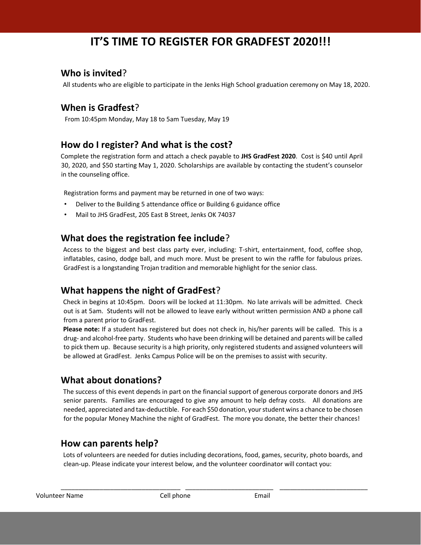## **IT'S TIME TO REGISTER FOR GRADFEST 2020!!!**

## **Who is invited**?

All students who are eligible to participate in the Jenks High School graduation ceremony on May 18, 2020.

## **When is Gradfest**?

From 10:45pm Monday, May 18 to 5am Tuesday, May 19

### **How do I register? And what is the cost?**

Complete the registration form and attach a check payable to **JHS GradFest 2020**. Cost is \$40 until April 30, 2020, and \$50 starting May 1, 2020. Scholarships are available by contacting the student's counselor in the counseling office.

Registration forms and payment may be returned in one of two ways:

- •Deliver to the Building 5 attendance office or Building 6 guidance office
- •Mail to JHS GradFest, 205 East B Street, Jenks OK 74037

#### **What does the registration fee include**?

Access to the biggest and best class party ever, including: T-shirt, entertainment, food, coffee shop, inflatables, casino, dodge ball, and much more. Must be present to win the raffle for fabulous prizes. GradFest is a longstanding Trojan tradition and memorable highlight for the senior class.

#### **What happens the night of GradFest**?

Check in begins at 10:45pm. Doors will be locked at 11:30pm. No late arrivals will be admitted. Check out is at 5am. Students will not be allowed to leave early without written permission AND a phone call from a parent prior to GradFest.

**Please note:** If a student has registered but does not check in, his/her parents will be called. This is a drug- and alcohol-free party. Students who have been drinking will be detained and parents will be called to pick them up. Because security is a high priority, only registered students and assigned volunteers will be allowed at GradFest. Jenks Campus Police will be on the premises to assist with security.

#### **What about donations?**

The success of this event depends in part on the financial support of generous corporate donors and JHS senior parents. Families are encouraged to give any amount to help defray costs. All donations are needed, appreciated and tax-deductible. For each \$50 donation, your student wins a chance to be chosen for the popular Money Machine the night of GradFest. The more you donate, the better their chances!

#### **How can parents help?**

Lots of volunteers are needed for duties including decorations, food, games, security, photo boards, and clean-up. Please indicate your interest below, and the volunteer coordinator will contact you:

\_\_\_\_\_\_\_\_\_\_\_\_\_\_\_\_\_\_\_\_\_\_\_\_\_\_\_\_\_\_\_\_\_\_ \_\_\_\_\_\_\_\_\_\_\_\_\_\_\_\_\_\_\_\_\_\_\_\_\_ \_\_\_\_\_\_\_\_\_\_\_\_\_\_\_\_\_\_\_\_\_\_\_\_\_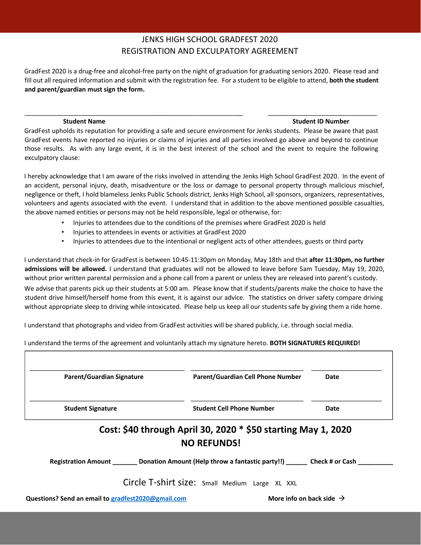#### JENKS HIGH SCHOOL GRADFEST 2020 REGISTRATION AND EXCULPATORY AGREEMENT

GradFest 2020 is a drug-free and alcohol-free party on the night of graduation for graduating seniors 2020. Please read and fill out all required information and submit with the registration fee. For a student to be eligible to attend, **both the student and parent/guardian must sign the form.** 

#### **Student Name Student ID Number 3 and Student ID Number 3 and Student ID Number 3 and Student ID Number 3 and Student ID Number 3 and Student ID Number 3 and Student ID Number 3 and Student ID Number 3 and Student 3 and St**

GradFest upholds its reputation for providing a safe and secure environment for Jenks students. Please be aware that past GradFest events have reported no injuries or claims of injuries and all parties involved go above and beyond to continue those results. As with any large event, it is in the best interest of the school and the event to require the following exculpatory clause:

\_\_\_\_\_\_\_\_\_\_\_\_\_\_\_\_\_\_\_\_\_\_\_\_\_\_\_\_\_\_\_\_\_\_\_\_\_\_\_\_\_\_\_\_\_\_\_\_\_\_\_\_\_\_\_\_\_\_\_\_\_\_ \_\_\_\_\_\_\_\_\_\_\_\_\_\_\_\_\_\_\_\_\_\_\_\_\_\_\_\_\_\_\_

I hereby acknowledge that I am aware of the risks involved in attending the Jenks High School GradFest 2020. In the event of an accident, personal injury, death, misadventure or the loss or damage to personal property through malicious mischief, negligence or theft, I hold blameless Jenks Public Schools district, Jenks High School, all sponsors, organizers, representatives, volunteers and agents associated with the event. I understand that in addition to the above mentioned possible casualties, the above named entities or persons may not be held responsible, legal or otherwise, for:

- Injuries to attendees due to the conditions of the premises where GradFest 2020 is held
- Injuries to attendees in events or activities at GradFest 2020
- Injuries to attendees due to the intentional or negligent acts of other attendees, guests or third party

I understand that check-in for GradFest is between 10:45-11:30pm on Monday, May 18th and that **after 11:30pm, no further admissions will be allowed.** I understand that graduates will not be allowed to leave before 5am Tuesday, May 19, 2020, without prior written parental permission and a phone call from a parent or unless they are released into parent's custody.

We advise that parents pick up their students at 5:00 am. Please know that if students/parents make the choice to have the student drive himself/herself home from this event, it is against our advice. The statistics on driver safety compare driving without appropriate sleep to driving while intoxicated. Please help us keep all our students safe by giving them a ride home.

I understand that photographs and video from GradFest activities will be shared publicly, i.e. through social media.

#### I understand the terms of the agreement and voluntarily attach my signature hereto. **BOTH SIGNATURES REQUIRED!**

| <b>Parent/Guardian Signature</b> | <b>Parent/Guardian Cell Phone Number</b>                                                                    | Date |
|----------------------------------|-------------------------------------------------------------------------------------------------------------|------|
| <b>Student Signature</b>         | <b>Student Cell Phone Number</b>                                                                            | Date |
|                                  | Cost: \$40 through April 30, 2020 * \$50 starting May 1, 2020                                               |      |
|                                  | <b>NO REFUNDS!</b>                                                                                          |      |
|                                  | Registration Amount _____________Donation Amount (Help throw a fantastic party!!) __________Check # or Cash |      |
|                                  | Circle T-shirt size: Small Medium Large XL XXL                                                              |      |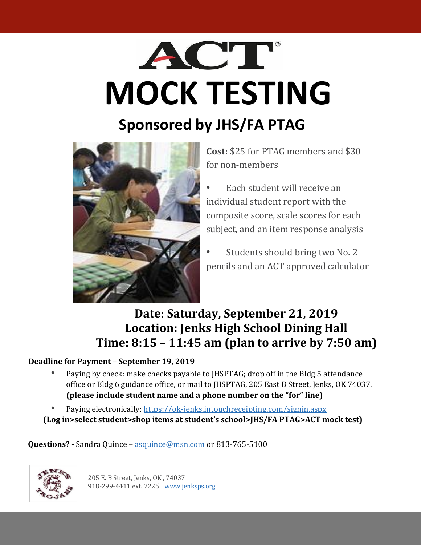# ACT **MOCK TESTING**

## **Sponsored by JHS/FA PTAG**



**Cost:** \$25 for PTAG members and \$30 for non-members

• Each student will receive an individual student report with the composite score, scale scores for each subject, and an item response analysis

Students should bring two No. 2 pencils and an ACT approved calculator

## **Date: Saturday, September 21, 2019 Location: Jenks High School Dining Hall Time: 8:15 – 11:45 am (plan to arrive by 7:50 am)**

#### **Deadline for Payment – September 19, 2019**

- Paying by check: make checks payable to JHSPTAG; drop off in the Bldg 5 attendance office or Bldg 6 guidance office, or mail to JHSPTAG, 205 East B Street, Jenks, OK 74037. **(please include student name and a phone number on the "for" line)**
- Paying electronically: [https://ok-jenks.intouchreceipting.com/signin.aspx](https://urldefense.proofpoint.com/v2/url?u=https-3A__ok-2Djenks.intouchreceipting.com_signin.aspx&d=DwMF-g&c=SFszdw3oxIkTvaP4xmzq_apLU3uL-3SxdAPNkldf__Q&r=Y83dtQ2-sj8UgPX6uWrZW4YII6Y2HhLcpH4YDeUel2Q&m=df6t5QDr7wY26XTIYMUS6rWY9LfPI8_yuowdMG33UVs&s=6WkB0Z7GrcraiTS_mutKwsYKultgBBYwfzdXskGy7fQ&e=)

**(Log in>select student>shop items at student's school>JHS/FA PTAG>ACT mock test)**

**Questions? -** Sandra Quince – asquince@msn.com or 813-765-5100